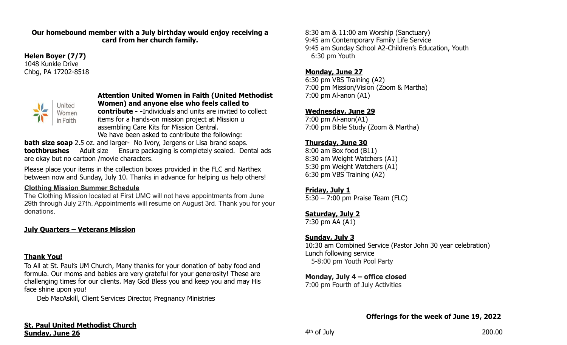#### **Our homebound member with a July birthday would enjoy receiving a card from her church family.**

#### **Helen Boyer (7/7)**  1048 Kunkle Drive Chbg, PA 17202-8518



#### **Attention United Women in Faith (United Methodist Women) and anyone else who feels called to**

**contribute - -**Individuals and units are invited to collect items for a hands-on mission project at Mission u assembling Care Kits for Mission Central. We have been asked to contribute the following:

**bath size soap** 2.5 oz. and larger- No Ivory, Jergens or Lisa brand soaps. **toothbrushes** Adult size Ensure packaging is completely sealed. Dental ads are okay but no cartoon /movie characters.

Please place your items in the collection boxes provided in the FLC and Narthex between now and Sunday, July 10. Thanks in advance for helping us help others!

#### **Clothing Mission Summer Schedule**

The Clothing Mission located at First UMC will not have appointments from June 29th through July 27th. Appointments will resume on August 3rd. Thank you for your donations.

## **July Quarters – Veterans Mission**

## **Thank You!**

To All at St. Paul's UM Church, Many thanks for your donation of baby food and formula. Our moms and babies are very grateful for your generosity! These are challenging times for our clients. May God Bless you and keep you and may His face shine upon you!

Deb MacAskill, Client Services Director, Pregnancy Ministries

8:30 am & 11:00 am Worship (Sanctuary) 9:45 am Contemporary Family Life Service 9:45 am Sunday School A2-Children's Education, Youth 6:30 pm Youth

#### **Monday, June 27**

6:30 pm VBS Training (A2) 7:00 pm Mission/Vision (Zoom & Martha) 7:00 pm Al-anon (A1)

#### **Wednesday, June 29**

7:00 pm Al-anon(A1) 7:00 pm Bible Study (Zoom & Martha)

#### **Thursday, June 30**

8:00 am Box food (B11) 8:30 am Weight Watchers (A1) 5:30 pm Weight Watchers (A1) 6:30 pm VBS Training (A2)

#### **Friday, July 1**

5:30 – 7:00 pm Praise Team (FLC)

## **Saturday, July 2**

7:30 pm AA (A1)

## **Sunday, July 3**

10:30 am Combined Service (Pastor John 30 year celebration) Lunch following service 5-8:00 pm Youth Pool Party

#### **Monday, July 4 – office closed**

7:00 pm Fourth of July Activities

**Offerings for the week of June 19, 2022**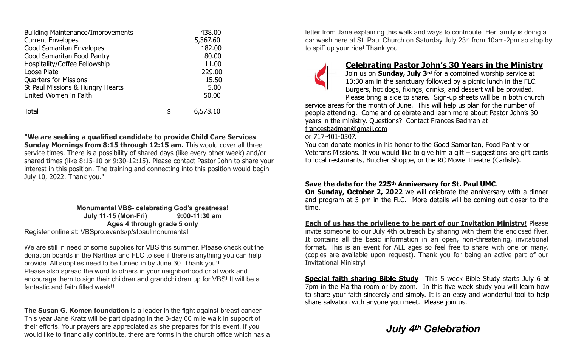| <b>Building Maintenance/Improvements</b> | 438.00         |
|------------------------------------------|----------------|
| <b>Current Envelopes</b>                 | 5,367.60       |
| <b>Good Samaritan Envelopes</b>          | 182.00         |
| Good Samaritan Food Pantry               | 80.00          |
| Hospitality/Coffee Fellowship            | 11.00          |
| Loose Plate                              | 229.00         |
| <b>Quarters for Missions</b>             | 15.50          |
| St Paul Missions & Hungry Hearts         | 5.00           |
| United Women in Faith                    | 50.00          |
| <b>Total</b>                             | \$<br>6,578.10 |

#### **"We are seeking a qualified candidate to provide Child Care Services**

**Sunday Mornings from 8:15 through 12:15 am.** This would cover all three service times. There is a possibility of shared days (like every other week) and/or shared times (like 8:15-10 or 9:30-12:15). Please contact Pastor John to share your interest in this position. The training and connecting into this position would begin July 10, 2022. Thank you."

> **Monumental VBS- celebrating God's greatness! July 11-15 (Mon-Fri) 9:00-11:30 am Ages 4 through grade 5 only**

Register online at: VBSpro.events/p/stpaulmonumental

We are still in need of some supplies for VBS this summer. Please check out the donation boards in the Narthex and FLC to see if there is anything you can help provide. All supplies need to be turned in by June 30. Thank you!! Please also spread the word to others in your neighborhood or at work and encourage them to sign their children and grandchildren up for VBS! It will be a fantastic and faith filled week!!

**The Susan G. Komen foundation** is a leader in the fight against breast cancer. This year Jane Kratz will be participating in the 3-day 60 mile walk in support of their efforts. Your prayers are appreciated as she prepares for this event. If you would like to financially contribute, there are forms in the church office which has a letter from Jane explaining this walk and ways to contribute. Her family is doing a car wash here at St. Paul Church on Saturday July 23rd from 10am-2pm so stop by to spiff up your ride! Thank you.



## **Celebrating Pastor John's 30 Years in the Ministry**

Join us on **Sunday, July 3rd** for a combined worship service at 10:30 am in the sanctuary followed by a picnic lunch in the FLC. Burgers, hot dogs, fixings, drinks, and dessert will be provided. Please bring a side to share. Sign-up sheets will be in both church

service areas for the month of June. This will help us plan for the number of people attending. Come and celebrate and learn more about Pastor John's 30 years in the ministry. Questions? Contact Frances Badman at [francesbadman@gmail.com](mailto:francesbadman@gmail.com)

or 717-401-0507.

You can donate monies in his honor to the Good Samaritan, Food Pantry or Veterans Missions. If you would like to give him a gift – suggestions are gift cards to local restaurants, Butcher Shoppe, or the RC Movie Theatre (Carlisle).

#### **Save the date for the 225th Anniversary for St. Paul UMC**.

**On Sunday, October 2, 2022** we will celebrate the anniversary with a dinner and program at 5 pm in the FLC. More details will be coming out closer to the time.

**Each of us has the privilege to be part of our Invitation Ministry!** Please invite someone to our July 4th outreach by sharing with them the enclosed flyer. It contains all the basic information in an open, non-threatening, invitational format. This is an event for ALL ages so feel free to share with one or many. (copies are available upon request). Thank you for being an active part of our Invitational Ministry!

**Special faith sharing Bible Study** This 5 week Bible Study starts July 6 at 7pm in the Martha room or by zoom. In this five week study you will learn how to share your faith sincerely and simply. It is an easy and wonderful tool to help share salvation with anyone you meet. Please join us.

# *July 4th Celebration*